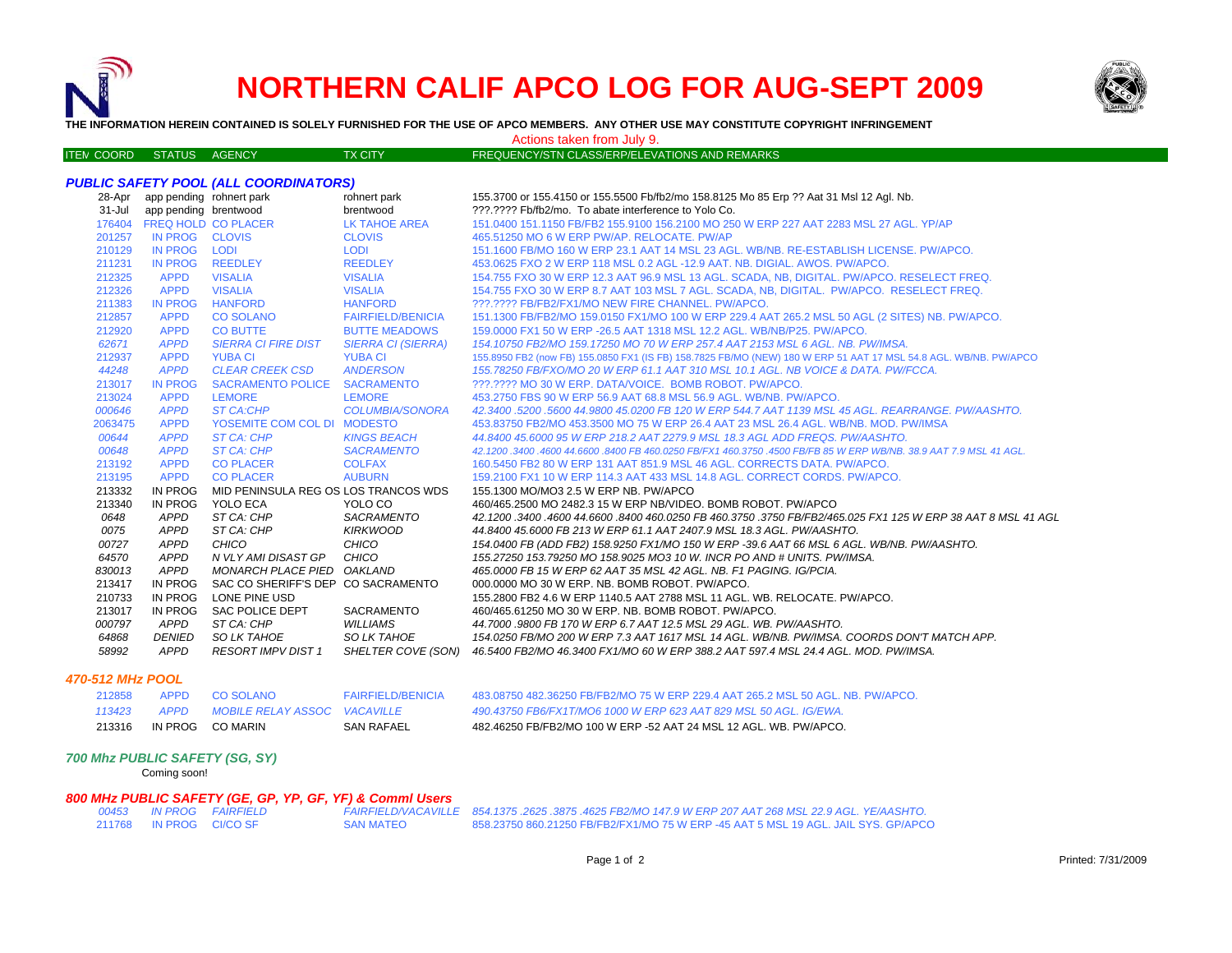

ITE M

# **NORTHERN CALIF APCO LOG FOR AUG-SEPT 2009**



**THE INFORMATION HEREIN CONTAINED IS SOLELY FURNISHED FOR THE USE OF APCO MEMBERS. ANY OTHER USE MAY CONSTITUTE COPYRIGHT INFRINGEMENT**

TX CITY FREQUENCY/STN CLASS/ERP/ELEVATIONS AND REMARKS Actions taken from July 9.

|            |                                 | <b>PUBLIC SAFETY POOL (ALL COORDINATORS)</b> |                           |                                                                                                                  |
|------------|---------------------------------|----------------------------------------------|---------------------------|------------------------------------------------------------------------------------------------------------------|
|            | 28-Apr app pending rohnert park |                                              | rohnert park              | 155.3700 or 155.4150 or 155.5500 Fb/fb2/mo 158.8125 Mo 85 Erp ?? Aat 31 Msl 12 Agl. Nb.                          |
| $31 -$ Jul | app pending brentwood           |                                              | brentwood                 | ???.???? Fb/fb2/mo. To abate interference to Yolo Co.                                                            |
| 176404     |                                 | <b>FREQ HOLD CO PLACER</b>                   | <b>LK TAHOE AREA</b>      | 151.0400 151.1150 FB/FB2 155.9100 156.2100 MO 250 W ERP 227 AAT 2283 MSL 27 AGL, YP/AP                           |
| 201257     | IN PROG CLOVIS                  |                                              | <b>CLOVIS</b>             | 465.51250 MO 6 W ERP PW/AP. RELOCATE. PW/AP                                                                      |
| 210129     | <b>IN PROG</b>                  | <b>LODI</b>                                  | <b>LODI</b>               | 151.1600 FB/MO 160 W ERP 23.1 AAT 14 MSL 23 AGL, WB/NB, RE-ESTABLISH LICENSE, PW/APCO,                           |
| 211231     | <b>IN PROG</b>                  | <b>REEDLEY</b>                               | <b>REEDLEY</b>            | 453,0625 FXO 2 W ERP 118 MSL 0.2 AGL -12.9 AAT, NB, DIGIAL, AWOS, PW/APCO,                                       |
| 212325     | <b>APPD</b>                     | <b>VISALIA</b>                               | <b>VISALIA</b>            | 154.755 FXO 30 W ERP 12.3 AAT 96.9 MSL 13 AGL, SCADA, NB, DIGITAL, PW/APCO, RESELECT FREQ.                       |
| 212326     | <b>APPD</b>                     | <b>VISALIA</b>                               | <b>VISALIA</b>            | 154.755 FXO 30 W ERP 8.7 AAT 103 MSL 7 AGL. SCADA, NB, DIGITAL. PW/APCO. RESELECT FREQ.                          |
| 211383     | <b>IN PROG</b>                  | <b>HANFORD</b>                               | <b>HANFORD</b>            | ???.???? FB/FB2/FX1/MO NEW FIRE CHANNEL. PW/APCO.                                                                |
| 212857     | <b>APPD</b>                     | <b>CO SOLANO</b>                             | <b>FAIRFIELD/BENICIA</b>  | 151.1300 FB/FB2/MO 159.0150 FX1/MO 100 W ERP 229.4 AAT 265.2 MSL 50 AGL (2 SITES) NB. PW/APCO.                   |
| 212920     | <b>APPD</b>                     | <b>CO BUTTE</b>                              | <b>BUTTE MEADOWS</b>      | 159,0000 FX1 50 W ERP - 26.5 AAT 1318 MSL 12.2 AGL, WB/NB/P25, PW/APCO.                                          |
| 62671      | <b>APPD</b>                     | <b>SIERRA CI FIRE DIST</b>                   | <b>SIERRA CI (SIERRA)</b> | 154.10750 FB2/MO 159.17250 MO 70 W ERP 257.4 AAT 2153 MSL 6 AGL. NB. PW/IMSA.                                    |
| 212937     | <b>APPD</b>                     | <b>YUBA CI</b>                               | <b>YUBA CI</b>            | 155.8950 FB2 (now FB) 155.0850 FX1 (IS FB) 158.7825 FB/MO (NEW) 180 W ERP 51 AAT 17 MSL 54.8 AGL. WB/NB. PW/APCO |
| 44248      | <b>APPD</b>                     | <b>CLEAR CREEK CSD</b>                       | <b>ANDERSON</b>           | 155.78250 FB/FXO/MO 20 W ERP 61.1 AAT 310 MSL 10.1 AGL. NB VOICE & DATA. PW/FCCA.                                |
| 213017     | <b>IN PROG</b>                  | <b>SACRAMENTO POLICE</b>                     | <b>SACRAMENTO</b>         | ???.???? MO 30 W ERP. DATA/VOICE. BOMB ROBOT. PW/APCO.                                                           |
| 213024     | <b>APPD</b>                     | <b>LEMORE</b>                                | <b>LEMORE</b>             | 453,2750 FBS 90 W ERP 56.9 AAT 68.8 MSL 56.9 AGL, WB/NB, PW/APCO,                                                |
| 000646     | <b>APPD</b>                     | <b>ST CA:CHP</b>                             | <b>COLUMBIA/SONORA</b>    | 42.3400 .5200 .5600 44.9800 45.0200 FB 120 W ERP 544.7 AAT 1139 MSL 45 AGL, REARRANGE, PW/AASHTO,                |
| 2063475    | <b>APPD</b>                     | YOSEMITE COM COL DI MODESTO                  |                           | 453.83750 FB2/MO 453.3500 MO 75 W ERP 26.4 AAT 23 MSL 26.4 AGL, WB/NB, MOD, PW/IMSA                              |
| 00644      | <b>APPD</b>                     | ST CA: CHP                                   | <b>KINGS BEACH</b>        | 44.8400 45.6000 95 W ERP 218.2 AAT 2279.9 MSL 18.3 AGL ADD FREQS. PW/AASHTO.                                     |
| 00648      | <b>APPD</b>                     | <b>ST CA: CHP</b>                            | <b>SACRAMENTO</b>         | 42,1200,3400,4600 44,6600,8400 FB 460,0250 FB/FX1 460,3750,4500 FB/FB 85 W ERP WB/NB, 38.9 AAT 7.9 MSL 41 AGL,   |
| 213192     | <b>APPD</b>                     | <b>CO PLACER</b>                             | <b>COLFAX</b>             | 160.5450 FB2 80 W ERP 131 AAT 851.9 MSL 46 AGL. CORRECTS DATA. PW/APCO.                                          |
| 213195     | <b>APPD</b>                     | <b>CO PLACER</b>                             | <b>AUBURN</b>             | 159.2100 FX1 10 W ERP 114.3 AAT 433 MSL 14.8 AGL, CORRECT CORDS, PW/APCO,                                        |
| 213332     | <b>IN PROG</b>                  | MID PENINSULA REG OS LOS TRANCOS WDS         |                           | 155.1300 MO/MO3 2.5 W ERP NB. PW/APCO                                                                            |
| 213340     | <b>IN PROG</b>                  | YOLO ECA                                     | YOLO CO                   | 460/465.2500 MO 2482.3 15 W ERP NB/VIDEO, BOMB ROBOT, PW/APCO                                                    |
| 0648       | APPD                            | ST CA: CHP                                   | SACRAMENTO                | 42,1200,3400,4600 44,6600,8400 460,0250 FB 460,3750 ,3750 FB/FB2/465,025 FX1 125 W ERP 38 AAT 8 MSL 41 AGL       |
| 0075       | APPD                            | ST CA: CHP                                   | <b>KIRKWOOD</b>           | 44.8400 45.6000 FB 213 W ERP 61.1 AAT 2407.9 MSL 18.3 AGL. PW/AASHTO.                                            |
| 00727      | APPD                            | CHICO                                        | CHICO                     | 154.0400 FB (ADD FB2) 158.9250 FX1/MO 150 W ERP -39.6 AAT 66 MSL 6 AGL. WB/NB. PW/AASHTO.                        |
| 64570      | APPD                            | N VLY AMI DISAST GP                          | CHICO                     | 155.27250 153.79250 MO 158.9025 MO3 10 W. INCR PO AND # UNITS, PW/IMSA.                                          |
| 830013     | <b>APPD</b>                     | MONARCH PLACE PIED OAKLAND                   |                           | 465,0000 FB 15 W ERP 62 AAT 35 MSL 42 AGL, NB, F1 PAGING, IG/PCIA,                                               |
| 213417     | <b>IN PROG</b>                  | SAC CO SHERIFF'S DEP CO SACRAMENTO           |                           | 000,0000 MO 30 W ERP. NB. BOMB ROBOT. PW/APCO.                                                                   |
| 210733     | <b>IN PROG</b>                  | LONE PINE USD                                |                           | 155,2800 FB2 4.6 W ERP 1140.5 AAT 2788 MSL 11 AGL. WB. RELOCATE. PW/APCO.                                        |
| 213017     | IN PROG                         | <b>SAC POLICE DEPT</b>                       | SACRAMENTO                | 460/465.61250 MO 30 W ERP. NB. BOMB ROBOT. PW/APCO.                                                              |
| 000797     | APPD                            | ST CA: CHP                                   | <b>WILLIAMS</b>           | 44.7000 .9800 FB 170 W ERP 6.7 AAT 12.5 MSL 29 AGL. WB. PW/AASHTO.                                               |
| 64868      | <b>DENIED</b>                   | SO LK TAHOE                                  | <b>SO LK TAHOE</b>        | 154.0250 FB/MO 200 W ERP 7.3 AAT 1617 MSL 14 AGL, WB/NB, PW/IMSA, COORDS DON'T MATCH APP.                        |
| 58992      | APPD                            | <b>RESORT IMPV DIST 1</b>                    | SHELTER COVE (SON)        | 46.5400 FB2/MO 46.3400 FX1/MO 60 W ERP 388.2 AAT 597.4 MSL 24.4 AGL. MOD. PW/IMSA.                               |

## *470-512 MHz POOL*

| 213316 |             | IN PROG CO MARIN             | <b>SAN RAFAEL</b>         | 482.46250 FB/FB2/MO 100 W ERP -52 AAT 24 MSL 12 AGL. WB. PW/APCO.              |
|--------|-------------|------------------------------|---------------------------|--------------------------------------------------------------------------------|
| 113423 | APPD        | MOBILE RELAY ASSOC VACAVILLE |                           | 490.43750 FB6/FX1T/MO6 1000 W ERP 623 AAT 829 MSL 50 AGL. IG/EWA.              |
| 212858 | <b>APPD</b> | CO SOLANO                    | <b>FAIRFIFI D/RENICIA</b> | 483.08750 482.36250 FB/FB2/MO 75 W ERP 229.4 AAT 265.2 MSL 50 AGL, NB, PW/APCO |

## *700 Mhz PUBLIC SAFETY (SG, SY)*

Coming soon!

#### *800 MHz PUBLIC SAFETY (GE, GP, YP, GF, YF) & Comml Users*

| 00453  | <b>IN PROG</b> | <b>FAIRFIELD</b> |
|--------|----------------|------------------|
| 211768 | <b>IN PROG</b> | CI/CO SF         |

 *IN PROG FAIRFIELD FAIRFIELD/VACAVILL E 854.1375 .2625 .3875 .4625 FB2/MO 147.9 W ERP 207 AAT 268 MSL 22.9 AGL. YE/AASHTO.* IN PROG CI/CO SF SAN MATEO 858.23750 860.21250 FB/FB2/FX1/MO 75 W ERP -45 AAT 5 MSL 19 AGL. JAIL SYS. GP/APCO